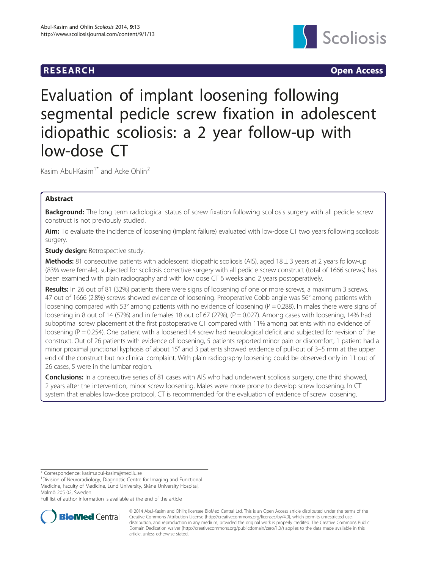



# Evaluation of implant loosening following segmental pedicle screw fixation in adolescent idiopathic scoliosis: a 2 year follow-up with low-dose CT

Kasim Abul-Kasim<sup>1\*</sup> and Acke Ohlin<sup>2</sup>

# Abstract

Background: The long term radiological status of screw fixation following scoliosis surgery with all pedicle screw construct is not previously studied.

Aim: To evaluate the incidence of loosening (implant failure) evaluated with low-dose CT two years following scoliosis surgery.

**Study design: Retrospective study.** 

Methods: 81 consecutive patients with adolescent idiopathic scoliosis (AIS), aged 18  $\pm$  3 years at 2 years follow-up (83% were female), subjected for scoliosis corrective surgery with all pedicle screw construct (total of 1666 screws) has been examined with plain radiography and with low dose CT 6 weeks and 2 years postoperatively.

Results: In 26 out of 81 (32%) patients there were signs of loosening of one or more screws, a maximum 3 screws. 47 out of 1666 (2.8%) screws showed evidence of loosening. Preoperative Cobb angle was 56° among patients with loosening compared with 53° among patients with no evidence of loosening ( $P = 0.288$ ). In males there were signs of loosening in 8 out of 14 (57%) and in females 18 out of 67 (27%),  $(P = 0.027)$ . Among cases with loosening, 14% had suboptimal screw placement at the first postoperative CT compared with 11% among patients with no evidence of loosening ( $P = 0.254$ ). One patient with a loosened L4 screw had neurological deficit and subjected for revision of the construct. Out of 26 patients with evidence of loosening, 5 patients reported minor pain or discomfort, 1 patient had a minor proximal junctional kyphosis of about 15° and 3 patients showed evidence of pull-out of 3–5 mm at the upper end of the construct but no clinical complaint. With plain radiography loosening could be observed only in 11 out of 26 cases, 5 were in the lumbar region.

**Conclusions:** In a consecutive series of 81 cases with AIS who had underwent scoliosis surgery, one third showed, 2 years after the intervention, minor screw loosening. Males were more prone to develop screw loosening. In CT system that enables low-dose protocol, CT is recommended for the evaluation of evidence of screw loosening.

\* Correspondence: [kasim.abul-kasim@med.lu.se](mailto:kasim.abul-kasim@med.lu.se) <sup>1</sup>

Full list of author information is available at the end of the article



© 2014 Abul-Kasim and Ohlin; licensee BioMed Central Ltd. This is an Open Access article distributed under the terms of the Creative Commons Attribution License (<http://creativecommons.org/licenses/by/4.0>), which permits unrestricted use, distribution, and reproduction in any medium, provided the original work is properly credited. The Creative Commons Public Domain Dedication waiver [\(http://creativecommons.org/publicdomain/zero/1.0/\)](http://creativecommons.org/publicdomain/zero/1.0/) applies to the data made available in this article, unless otherwise stated.

<sup>&</sup>lt;sup>1</sup> Division of Neuroradiology, Diagnostic Centre for Imaging and Functional Medicine, Faculty of Medicine, Lund University, Skåne University Hospital, Malmö 205 02, Sweden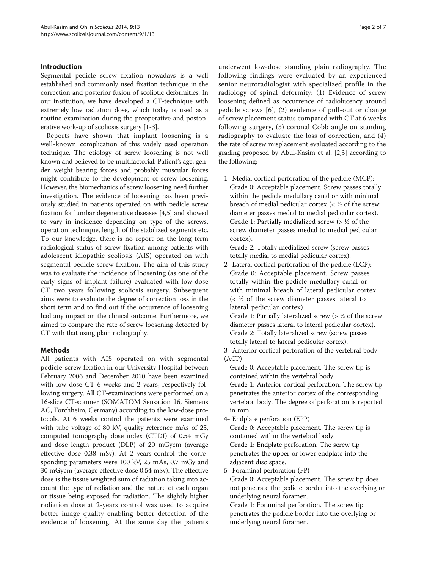## Introduction

Segmental pedicle screw fixation nowadays is a well established and commonly used fixation technique in the correction and posterior fusion of scoliotic deformities. In our institution, we have developed a CT-technique with extremely low radiation dose, which today is used as a routine examination during the preoperative and postoperative work-up of scoliosis surgery [\[1](#page-5-0)-[3](#page-5-0)].

Reports have shown that implant loosening is a well-known complication of this widely used operation technique. The etiology of screw loosening is not well known and believed to be multifactorial. Patient's age, gender, weight bearing forces and probably muscular forces might contribute to the development of screw loosening. However, the biomechanics of screw loosening need further investigation. The evidence of loosening has been previously studied in patients operated on with pedicle screw fixation for lumbar degenerative diseases [\[4,5](#page-5-0)] and showed to vary in incidence depending on type of the screws, operation technique, length of the stabilized segments etc. To our knowledge, there is no report on the long term radiological status of screw fixation among patients with adolescent idiopathic scoliosis (AIS) operated on with segmental pedicle screw fixation. The aim of this study was to evaluate the incidence of loosening (as one of the early signs of implant failure) evaluated with low-dose CT two years following scoliosis surgery. Subsequent aims were to evaluate the degree of correction loss in the short term and to find out if the occurrence of loosening had any impact on the clinical outcome. Furthermore, we aimed to compare the rate of screw loosening detected by CT with that using plain radiography.

# Methods

All patients with AIS operated on with segmental pedicle screw fixation in our University Hospital between February 2006 and December 2010 have been examined with low dose CT 6 weeks and 2 years, respectively following surgery. All CT-examinations were performed on a 16-slice CT-scanner (SOMATOM Sensation 16, Siemens AG, Forchheim, Germany) according to the low-dose protocols. At 6 weeks control the patients were examined with tube voltage of 80 kV, quality reference mAs of 25, computed tomography dose index (CTDI) of 0.54 mGy and dose length product (DLP) of 20 mGycm (average effective dose 0.38 mSv). At 2 years-control the corresponding parameters were 100 kV, 25 mAs, 0.7 mGy and 30 mGycm (average effective dose 0.54 mSv). The effective dose is the tissue weighted sum of radiation taking into account the type of radiation and the nature of each organ or tissue being exposed for radiation. The slightly higher radiation dose at 2-years control was used to acquire better image quality enabling better detection of the evidence of loosening. At the same day the patients

underwent low-dose standing plain radiography. The following findings were evaluated by an experienced senior neuroradiologist with specialized profile in the radiology of spinal deformity: (1) Evidence of screw loosening defined as occurrence of radiolucency around pedicle screws [[6](#page-6-0)], (2) evidence of pull-out or change of screw placement status compared with CT at 6 weeks following surgery, (3) coronal Cobb angle on standing radiography to evaluate the loss of correction, and (4) the rate of screw misplacement evaluated according to the grading proposed by Abul-Kasim et al. [[2,3](#page-5-0)] according to the following:

1- Medial cortical perforation of the pedicle (MCP): Grade 0: Acceptable placement. Screw passes totally within the pedicle medullary canal or with minimal breach of medial pedicular cortex  $\langle \cdot \rangle$  the screw diameter passes medial to medial pedicular cortex). Grade 1: Partially medialized screw (> ½ of the screw diameter passes medial to medial pedicular cortex).

Grade 2: Totally medialized screw (screw passes totally medial to medial pedicular cortex).

2- Lateral cortical perforation of the pedicle (LCP): Grade 0: Acceptable placement. Screw passes totally within the pedicle medullary canal or with minimal breach of lateral pedicular cortex (< ½ of the screw diameter passes lateral to lateral pedicular cortex).

Grade 1: Partially lateralized screw  $(>\frac{1}{2})$  of the screw diameter passes lateral to lateral pedicular cortex). Grade 2: Totally lateralized screw (screw passes totally lateral to lateral pedicular cortex).

3- Anterior cortical perforation of the vertebral body (ACP)

Grade 0: Acceptable placement. The screw tip is contained within the vertebral body.

Grade 1: Anterior cortical perforation. The screw tip penetrates the anterior cortex of the corresponding vertebral body. The degree of perforation is reported in mm.

4- Endplate perforation (EPP)

Grade 0: Acceptable placement. The screw tip is contained within the vertebral body. Grade 1: Endplate perforation. The screw tip penetrates the upper or lower endplate into the adjacent disc space.

5- Foraminal perforation (FP)

Grade 0: Acceptable placement. The screw tip does not penetrate the pedicle border into the overlying or underlying neural foramen.

Grade 1: Foraminal perforation. The screw tip penetrates the pedicle border into the overlying or underlying neural foramen.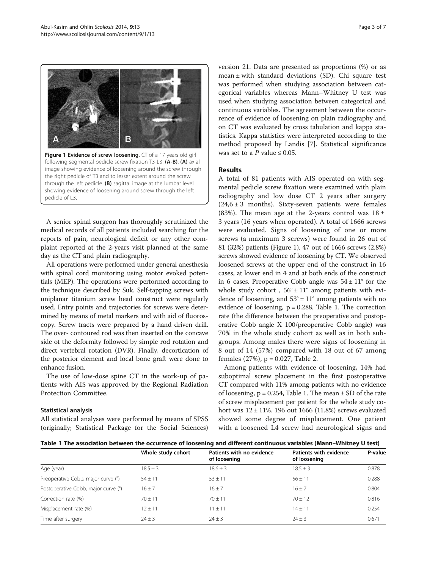

Figure 1 Evidence of screw loosening. CT of a 17 years old girl following segmental pedicle screw fixation T3-L3: (A-B). (A) axial image showing evidence of loosening around the screw through the right pedicle of T3 and to lesser extent around the screw through the left pedicle. (B) sagittal image at the lumbar level showing evidence of loosening around screw through the left pedicle of L3.

A senior spinal surgeon has thoroughly scrutinized the medical records of all patients included searching for the reports of pain, neurological deficit or any other complaint reported at the 2-years visit planned at the same day as the CT and plain radiography.

All operations were performed under general anesthesia with spinal cord monitoring using motor evoked potentials (MEP). The operations were performed according to the technique described by Suk. Self-tapping screws with uniplanar titanium screw head construct were regularly used. Entry points and trajectories for screws were determined by means of metal markers and with aid of fluoroscopy. Screw tracts were prepared by a hand driven drill. The over- contoured rod was then inserted on the concave side of the deformity followed by simple rod rotation and direct vertebral rotation (DVR). Finally, decortication of the posterior element and local bone graft were done to enhance fusion.

The use of low-dose spine CT in the work-up of patients with AIS was approved by the Regional Radiation Protection Committee.

## Statistical analysis

All statistical analyses were performed by means of SPSS (originally; Statistical Package for the Social Sciences) version 21. Data are presented as proportions (%) or as mean ± with standard deviations (SD). Chi square test was performed when studying association between categorical variables whereas Mann–Whitney U test was used when studying association between categorical and continuous variables. The agreement between the occurrence of evidence of loosening on plain radiography and on CT was evaluated by cross tabulation and kappa statistics. Kappa statistics were interpreted according to the method proposed by Landis [\[7](#page-6-0)]. Statistical significance was set to a *P* value  $\leq$  0.05.

## Results

A total of 81 patients with AIS operated on with segmental pedicle screw fixation were examined with plain radiography and low dose CT 2 years after surgery  $(24.6 \pm 3$  months). Sixty-seven patients were females (83%). The mean age at the 2-years control was  $18 \pm$ 3 years (16 years when operated). A total of 1666 screws were evaluated. Signs of loosening of one or more screws (a maximum 3 screws) were found in 26 out of 81 (32%) patients (Figure 1). 47 out of 1666 screws (2.8%) screws showed evidence of loosening by CT. We observed loosened screws at the upper end of the construct in 16 cases, at lower end in 4 and at both ends of the construct in 6 cases. Preoperative Cobb angle was  $54 \pm 11^{\circ}$  for the whole study cohort,  $56^{\circ} \pm 11^{\circ}$  among patients with evidence of loosening, and  $53^{\circ} \pm 11^{\circ}$  among patients with no evidence of loosening,  $p = 0.288$ , Table 1. The correction rate (the difference between the preoperative and postoperative Cobb angle X 100/preoperative Cobb angle) was 70% in the whole study cohort as well as in both subgroups. Among males there were signs of loosening in 8 out of 14 (57%) compared with 18 out of 67 among females  $(27%)$ ,  $p = 0.027$ , Table [2](#page-3-0).

Among patients with evidence of loosening, 14% had suboptimal screw placement in the first postoperative CT compared with 11% among patients with no evidence of loosening,  $p = 0.254$ , Table 1. The mean  $\pm$  SD of the rate of screw misplacement per patient for the whole study cohort was  $12 \pm 11\%$ . 196 out 1666 (11.8%) screws evaluated showed some degree of misplacement. One patient with a loosened L4 screw had neurological signs and

| Table 1 The association between the occurrence of loosening and different continuous variables (Mann–Whitney U test) |  |  |
|----------------------------------------------------------------------------------------------------------------------|--|--|
|----------------------------------------------------------------------------------------------------------------------|--|--|

|                                     | Whole study cohort | Patients with no evidence<br>of loosening | <b>Patients with evidence</b><br>of loosening | P-value |
|-------------------------------------|--------------------|-------------------------------------------|-----------------------------------------------|---------|
| Age (year)                          | $18.5 \pm 3$       | $18.6 \pm 3$                              | $18.5 + 3$                                    | 0.878   |
| Preoperative Cobb, major curve (°)  | $54 \pm 11$        | $53 \pm 11$                               | $56 \pm 11$                                   | 0.288   |
| Postoperative Cobb, major curve (°) | $16 \pm 7$         | $16 \pm 7$                                | $16 \pm 7$                                    | 0.804   |
| Correction rate (%)                 | $70 + 11$          | $70 + 11$                                 | $70 + 12$                                     | 0.816   |
| Misplacement rate (%)               | $12 \pm 11$        | $11 \pm 11$                               | $14 \pm 11$                                   | 0.254   |
| Time after surgery                  | $24 \pm 3$         | $24 \pm 3$                                | $24 \pm 3$                                    | 0.671   |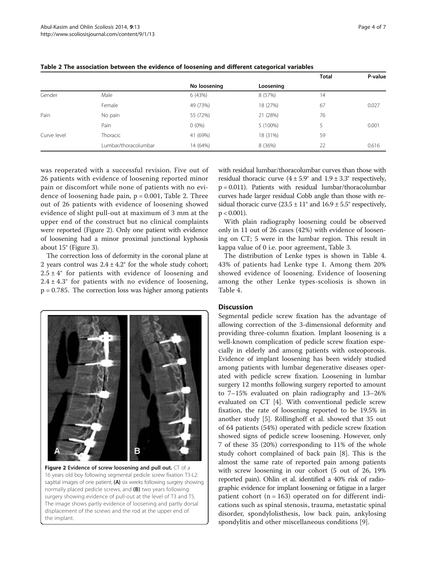|             |                      |              |           | <b>Total</b> | P-value |
|-------------|----------------------|--------------|-----------|--------------|---------|
|             |                      | No loosening | Loosening |              |         |
| Gender      | Male                 | 6 (43%)      | 8 (57%)   | 14           |         |
|             | Female               | 49 (73%)     | 18 (27%)  | 67           | 0.027   |
| Pain        | No pain              | 55 (72%)     | 21 (28%)  | 76           |         |
|             | Pain                 | $0(0\%)$     | 5 (100%)  |              | 0.001   |
| Curve level | Thoracic             | 41 (69%)     | 18 (31%)  | 59           |         |
|             | Lumbar/thoracolumbar | 14 (64%)     | 8 (36%)   | 22           | 0.616   |

## <span id="page-3-0"></span>Table 2 The association between the evidence of loosening and different categorical variables

was reoperated with a successful revision. Five out of 26 patients with evidence of loosening reported minor pain or discomfort while none of patients with no evidence of loosening hade pain,  $p = 0.001$ , Table 2. Three out of 26 patients with evidence of loosening showed evidence of slight pull-out at maximum of 3 mm at the upper end of the construct but no clinical complaints were reported (Figure 2). Only one patient with evidence of loosening had a minor proximal junctional kyphosis about 15° (Figure [3\)](#page-4-0).

The correction loss of deformity in the coronal plane at 2 years control was  $2.4 \pm 4.2^{\circ}$  for the whole study cohort;  $2.5 \pm 4^{\circ}$  for patients with evidence of loosening and  $2.4 \pm 4.3^{\circ}$  for patients with no evidence of loosening,  $p = 0.785$ . The correction loss was higher among patients



Figure 2 Evidence of screw loosening and pull out. CT of a 16 years old boy following segmental pedicle screw fixation T3-L2: sagittal images of one patient, (A) six weeks following surgery showing normally placed pedicle screws, and (B) two years following surgery showing evidence of pull-out at the level of T3 and T5. The image shows partly evidence of loosening and partly dorsal displacement of the screws and the rod at the upper end of the implant.

with residual lumbar/thoracolumbar curves than those with residual thoracic curve  $(4 \pm 5.9^{\circ}$  and  $1.9 \pm 3.3^{\circ}$  respectively,  $p = 0.011$ ). Patients with residual lumbar/thoracolumbar curves hade larger residual Cobb angle than those with residual thoracic curve  $(23.5 \pm 11^{\circ}$  and  $16.9 \pm 5.5^{\circ}$  respectively,  $p < 0.001$ ).

With plain radiography loosening could be observed only in 11 out of 26 cases (42%) with evidence of loosening on CT; 5 were in the lumbar region. This result in kappa value of 0 i.e. poor agreement, Table [3](#page-4-0).

The distribution of Lenke types is shown in Table [4](#page-5-0). 43% of patients had Lenke type 1. Among them 20% showed evidence of loosening. Evidence of loosening among the other Lenke types-scoliosis is shown in Table [4.](#page-5-0)

## **Discussion**

Segmental pedicle screw fixation has the advantage of allowing correction of the 3-dimensional deformity and providing three-column fixation. Implant loosening is a well-known complication of pedicle screw fixation especially in elderly and among patients with osteoporosis. Evidence of implant loosening has been widely studied among patients with lumbar degenerative diseases operated with pedicle screw fixation. Loosening in lumbar surgery 12 months following surgery reported to amount to 7–15% evaluated on plain radiography and 13–26% evaluated on CT [\[4](#page-5-0)]. With conventional pedicle screw fixation, the rate of loosening reported to be 19.5% in another study [\[5\]](#page-5-0). Röllinghoff et al. showed that 35 out of 64 patients (54%) operated with pedicle screw fixation showed signs of pedicle screw loosening. However, only 7 of these 35 (20%) corresponding to 11% of the whole study cohort complained of back pain [[8\]](#page-6-0). This is the almost the same rate of reported pain among patients with screw loosening in our cohort (5 out of 26, 19% reported pain). Ohlin et al. identified a 40% risk of radiographic evidence for implant loosening or fatigue in a larger patient cohort ( $n = 163$ ) operated on for different indications such as spinal stenosis, trauma, metastatic spinal disorder, spondylolisthesis, low back pain, ankylosing spondylitis and other miscellaneous conditions [[9](#page-6-0)].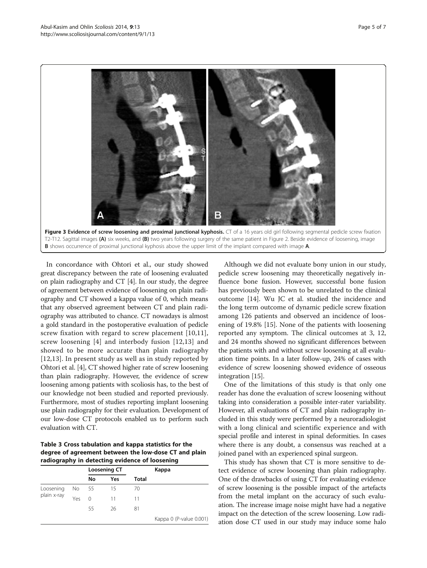<span id="page-4-0"></span>

In concordance with Ohtori et al., our study showed great discrepancy between the rate of loosening evaluated on plain radiography and CT [[4](#page-5-0)]. In our study, the degree of agreement between evidence of loosening on plain radiography and CT showed a kappa value of 0, which means that any observed agreement between CT and plain radiography was attributed to chance. CT nowadays is almost a gold standard in the postoperative evaluation of pedicle screw fixation with regard to screw placement [\[10,11](#page-6-0)], screw loosening [\[4\]](#page-5-0) and interbody fusion [[12,13\]](#page-6-0) and showed to be more accurate than plain radiography [[12](#page-6-0),[13\]](#page-6-0). In present study as well as in study reported by Ohtori et al. [[4](#page-5-0)], CT showed higher rate of screw loosening than plain radiography. However, the evidence of screw loosening among patients with scoliosis has, to the best of our knowledge not been studied and reported previously. Furthermore, most of studies reporting implant loosening use plain radiography for their evaluation. Development of our low-dose CT protocols enabled us to perform such evaluation with CT.

Table 3 Cross tabulation and kappa statistics for the degree of agreement between the low-dose CT and plain radiography in detecting evidence of loosening

|                          |       | Loosening CT |     |              | Kappa                   |
|--------------------------|-------|--------------|-----|--------------|-------------------------|
|                          |       | No           | Yes | <b>Total</b> |                         |
| Loosening<br>plain x-ray | No 55 |              | 15  | 70           |                         |
|                          | Yes   | 0            | 11  | 11           |                         |
|                          |       | 55           | 26  | 81           |                         |
|                          |       |              |     |              | Kappa 0 (P-value 0.001) |

Although we did not evaluate bony union in our study, pedicle screw loosening may theoretically negatively influence bone fusion. However, successful bone fusion has previously been shown to be unrelated to the clinical outcome [\[14](#page-6-0)]. Wu JC et al. studied the incidence and the long term outcome of dynamic pedicle screw fixation among 126 patients and observed an incidence of loosening of 19.8% [[15\]](#page-6-0). None of the patients with loosening reported any symptom. The clinical outcomes at 3, 12, and 24 months showed no significant differences between the patients with and without screw loosening at all evaluation time points. In a later follow-up, 24% of cases with evidence of screw loosening showed evidence of osseous integration [\[15\]](#page-6-0).

One of the limitations of this study is that only one reader has done the evaluation of screw loosening without taking into consideration a possible inter-rater variability. However, all evaluations of CT and plain radiography included in this study were performed by a neuroradiologist with a long clinical and scientific experience and with special profile and interest in spinal deformities. In cases where there is any doubt, a consensus was reached at a joined panel with an experienced spinal surgeon.

This study has shown that CT is more sensitive to detect evidence of screw loosening than plain radiography. One of the drawbacks of using CT for evaluating evidence of screw loosening is the possible impact of the artefacts from the metal implant on the accuracy of such evaluation. The increase image noise might have had a negative impact on the detection of the screw loosening. Low radiation dose CT used in our study may induce some halo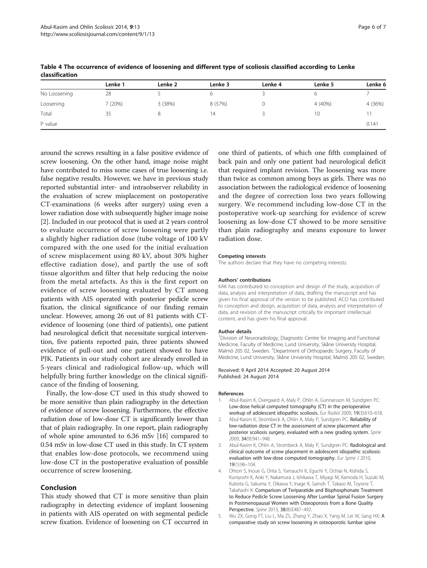|              | Lenke 1 | Lenke 2 | Lenke 3 | Lenke 4 | Lenke 5 | Lenke 6 |
|--------------|---------|---------|---------|---------|---------|---------|
| No Loosening | 28      |         |         |         |         |         |
| Loosening    | 7(20%)  | 3(38%)  | 8 (57%) |         | 4 (40%) | 4 (36%) |
| Total        | 35      |         | 14      |         | 10      |         |
| P value      |         |         |         |         |         | 0.141   |

<span id="page-5-0"></span>Table 4 The occurrence of evidence of loosening and different type of scoliosis classified according to Lenke classification

around the screws resulting in a false positive evidence of screw loosening. On the other hand, image noise might have contributed to miss some cases of true loosening i.e. false negative results. However, we have in previous study reported substantial inter- and intraobserver reliability in the evaluation of screw misplacement on postoperative CT-examinations (6 weeks after surgery) using even a lower radiation dose with subsequently higher image noise [2]. Included in our protocol that is used at 2 years control to evaluate occurrence of screw loosening were partly a slightly higher radiation dose (tube voltage of 100 kV compared with the one used for the initial evaluation of screw misplacement using 80 kV, about 30% higher effective radiation dose), and partly the use of soft tissue algorithm and filter that help reducing the noise from the metal artefacts. As this is the first report on evidence of screw loosening evaluated by CT among patients with AIS operated with posterior pedicle screw fixation, the clinical significance of our finding remain unclear. However, among 26 out of 81 patients with CTevidence of loosening (one third of patients), one patient had neurological deficit that necessitate surgical intervention, five patients reported pain, three patients showed evidence of pull-out and one patient showed to have PJK. Patients in our study cohort are already enrolled in 5-years clinical and radiological follow-up, which will helpfully bring further knowledge on the clinical significance of the finding of loosening.

Finally, the low-dose CT used in this study showed to be more sensitive than plain radiography in the detection of evidence of screw loosening. Furthermore, the effective radiation dose of low-dose CT is significantly lower than that of plain radiography. In one report, plain radiography of whole spine amounted to 6.36 mSv [\[16\]](#page-6-0) compared to 0.54 mSv in low-dose CT used in this study. In CT system that enables low-dose protocols, we recommend using low-dose CT in the postoperative evaluation of possible occurrence of screw loosening.

## Conclusion

This study showed that CT is more sensitive than plain radiography in detecting evidence of implant loosening in patients with AIS operated on with segmental pedicle screw fixation. Evidence of loosening on CT occurred in one third of patients, of which one fifth complained of back pain and only one patient had neurological deficit that required implant revision. The loosening was more than twice as common among boys as girls. There was no association between the radiological evidence of loosening and the degree of correction loss two years following surgery. We recommend including low-dose CT in the postoperative work-up searching for evidence of screw loosening as low-dose CT showed to be more sensitive than plain radiography and means exposure to lower radiation dose.

#### Competing interests

The authors declare that they have no competing interests.

#### Authors' contributions

KAK has contributed to conception and design of the study, acquisition of data, analysis and interpretation of data, drafting the manuscript and has given his final approval of the version to be published. ACO has contributed to conception and design, acquisition of data, analysis and interpretation of data, and revision of the manuscript critically for important intellectual content, and has given his final approval.

#### Author details

<sup>1</sup> Division of Neuroradiology, Diagnostic Centre for Imaging and Functional Medicine, Faculty of Medicine, Lund University, Skåne University Hospital, Malmö 205 02, Sweden. <sup>2</sup>Department of Orthopaedic Surgery, Faculty of Medicine, Lund University, Skåne University Hospital, Malmö 205 02, Sweden.

#### Received: 9 April 2014 Accepted: 20 August 2014 Published: 24 August 2014

#### References

- Abul-Kasim K, Overgaard A, Maly P, Ohlin A, Gunnarsson M, Sundgren PC: Low-dose helical computed tomography (CT) in the perioperative workup of adolescent idiopathic scoliosis. Eur Radiol 2009, 19(3):610–618.
- Abul-Kasim K, Strombeck A, Ohlin A, Maly P, Sundgren PC: Reliability of low-radiation dose CT in the assessment of screw placement after posterior scoliosis surgery, evaluated with a new grading system. Spine 2009, 34(9):941–948.
- 3. Abul-Kasim K, Ohlin A, Strombeck A, Maly P, Sundgren PC: Radiological and clinical outcome of screw placement in adolescent idiopathic scoliosis: evaluation with low-dose computed tomography. Eur Spine J 2010, 19(1):96–104.
- 4. Ohtori S, Inoue G, Orita S, Yamauchi K, Eguchi Y, Ochiai N, Kishida S, Kuniyoshi K, Aoki Y, Nakamura J, Ishikawa T, Miyagi M, Kamoda H, Suzuki M, Kubota G, Sakuma Y, Oikawa Y, Inage K, Sainoh T, Takaso M, Toyone T, Takahashi K: Comparison of Teriparatide and Bisphosphonate Treatment to Reduce Pedicle Screw Loosening After Lumbar Spinal Fusion Surgery in Postmenopausal Women with Osteoporosis from a Bone Quality Perspective. Spine 2013, 38(8):E487–492.
- 5. Wu ZX, Gong FT, Liu L, Ma ZS, Zhang Y, Zhao X, Yang M, Lei W, Sang HX: A comparative study on screw loosening in osteoporotic lumbar spine